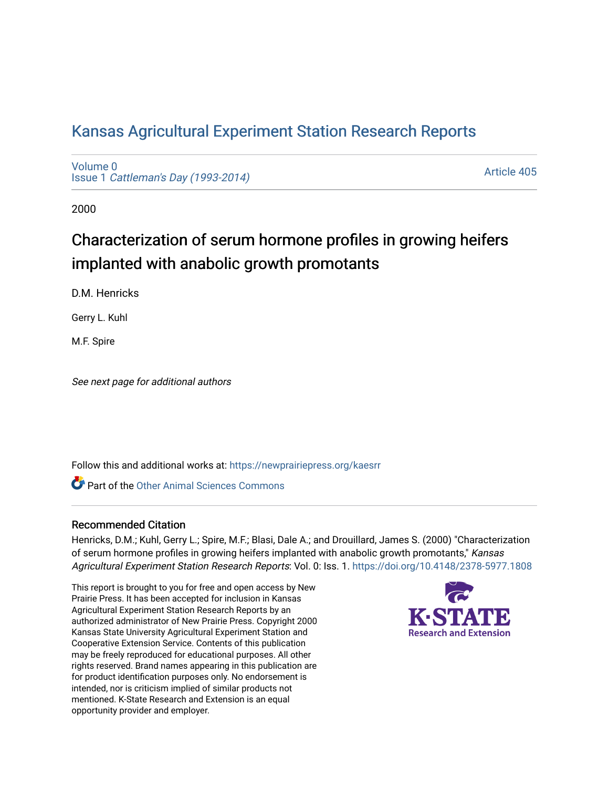# [Kansas Agricultural Experiment Station Research Reports](https://newprairiepress.org/kaesrr)

[Volume 0](https://newprairiepress.org/kaesrr/vol0) Issue 1 [Cattleman's Day \(1993-2014\)](https://newprairiepress.org/kaesrr/vol0/iss1) 

[Article 405](https://newprairiepress.org/kaesrr/vol0/iss1/405) 

2000

# Characterization of serum hormone profiles in growing heifers implanted with anabolic growth promotants

D.M. Henricks

Gerry L. Kuhl

M.F. Spire

See next page for additional authors

Follow this and additional works at: [https://newprairiepress.org/kaesrr](https://newprairiepress.org/kaesrr?utm_source=newprairiepress.org%2Fkaesrr%2Fvol0%2Fiss1%2F405&utm_medium=PDF&utm_campaign=PDFCoverPages) 

**C** Part of the [Other Animal Sciences Commons](http://network.bepress.com/hgg/discipline/82?utm_source=newprairiepress.org%2Fkaesrr%2Fvol0%2Fiss1%2F405&utm_medium=PDF&utm_campaign=PDFCoverPages)

## Recommended Citation

Henricks, D.M.; Kuhl, Gerry L.; Spire, M.F.; Blasi, Dale A.; and Drouillard, James S. (2000) "Characterization of serum hormone profiles in growing heifers implanted with anabolic growth promotants," Kansas Agricultural Experiment Station Research Reports: Vol. 0: Iss. 1.<https://doi.org/10.4148/2378-5977.1808>

This report is brought to you for free and open access by New Prairie Press. It has been accepted for inclusion in Kansas Agricultural Experiment Station Research Reports by an authorized administrator of New Prairie Press. Copyright 2000 Kansas State University Agricultural Experiment Station and Cooperative Extension Service. Contents of this publication may be freely reproduced for educational purposes. All other rights reserved. Brand names appearing in this publication are for product identification purposes only. No endorsement is intended, nor is criticism implied of similar products not mentioned. K-State Research and Extension is an equal opportunity provider and employer.

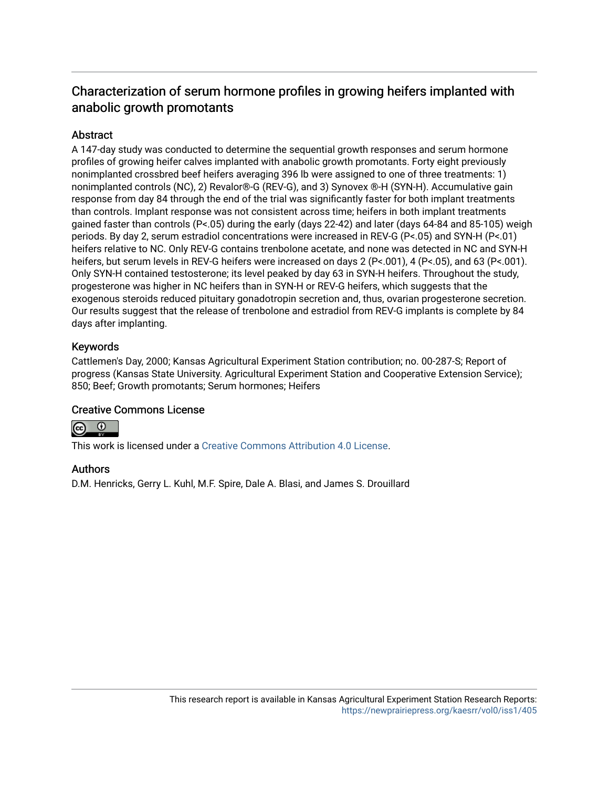# Characterization of serum hormone profiles in growing heifers implanted with anabolic growth promotants

## Abstract

A 147-day study was conducted to determine the sequential growth responses and serum hormone profiles of growing heifer calves implanted with anabolic growth promotants. Forty eight previously nonimplanted crossbred beef heifers averaging 396 lb were assigned to one of three treatments: 1) nonimplanted controls (NC), 2) Revalor®-G (REV-G), and 3) Synovex ®-H (SYN-H). Accumulative gain response from day 84 through the end of the trial was significantly faster for both implant treatments than controls. Implant response was not consistent across time; heifers in both implant treatments gained faster than controls (P<.05) during the early (days 22-42) and later (days 64-84 and 85-105) weigh periods. By day 2, serum estradiol concentrations were increased in REV-G (P<.05) and SYN-H (P<.01) heifers relative to NC. Only REV-G contains trenbolone acetate, and none was detected in NC and SYN-H heifers, but serum levels in REV-G heifers were increased on days 2 (P<.001), 4 (P<.05), and 63 (P<.001). Only SYN-H contained testosterone; its level peaked by day 63 in SYN-H heifers. Throughout the study, progesterone was higher in NC heifers than in SYN-H or REV-G heifers, which suggests that the exogenous steroids reduced pituitary gonadotropin secretion and, thus, ovarian progesterone secretion. Our results suggest that the release of trenbolone and estradiol from REV-G implants is complete by 84 days after implanting.

## Keywords

Cattlemen's Day, 2000; Kansas Agricultural Experiment Station contribution; no. 00-287-S; Report of progress (Kansas State University. Agricultural Experiment Station and Cooperative Extension Service); 850; Beef; Growth promotants; Serum hormones; Heifers

## Creative Commons License



This work is licensed under a [Creative Commons Attribution 4.0 License](https://creativecommons.org/licenses/by/4.0/).

#### Authors

D.M. Henricks, Gerry L. Kuhl, M.F. Spire, Dale A. Blasi, and James S. Drouillard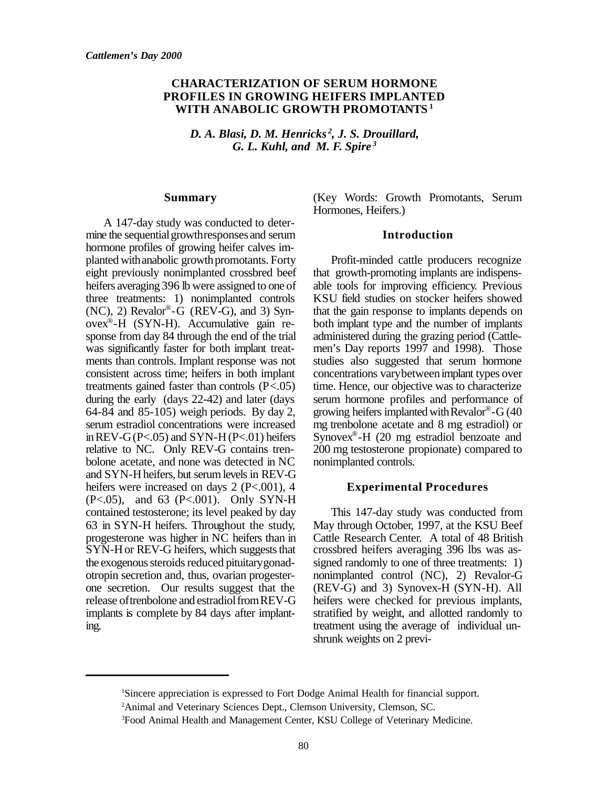#### **CHARACTERIZATION OF SERUM HORMONE PROFILES IN GROWING HEIFERS IMPLANTED WITH ANABOLIC GROWTH PROMOTANTS <sup>1</sup>**

*D. A. Blasi, D. M. Henricks <sup>2</sup> , J. S. Drouillard, G. L. Kuhl, and M. F. Spire <sup>3</sup>*

#### **Summary**

A 147-day study was conducted to determine the sequential growth responses and serum hormone profiles of growing heifer calves implanted with anabolic growth promotants. Forty eight previously nonimplanted crossbred beef heifers averaging 396 lb were assigned to one of three treatments: 1) nonimplanted controls  $(NC)$ , 2) Revalor®-G (REV-G), and 3) Synovex® -H (SYN-H). Accumulative gain response from day 84 through the end of the trial was significantly faster for both implant treatments than controls. Implant response was not consistent across time; heifers in both implant treatments gained faster than controls (P<.05) during the early (days 22-42) and later (days 64-84 and 85-105) weigh periods. By day 2, serum estradiol concentrations were increased in REV-G( $P < 0.05$ ) and SYN-H( $P < 0.01$ ) heifers relative to NC. Only REV-G contains trenbolone acetate, and none was detected in NC and SYN-H heifers, but serum levels in REV-G heifers were increased on days 2 (P<.001), 4 (P<.05), and 63 (P<.001). Only SYN-H contained testosterone; its level peaked by day 63 in SYN-H heifers. Throughout the study, progesterone was higher in NC heifers than in SYN-H or REV-G heifers, which suggests that the exogenous steroids reduced pituitary gonadotropin secretion and, thus, ovarian progesterone secretion. Our results suggest that the release of trenbolone and estradiol from REV-G implants is complete by 84 days after implanting.

(Key Words: Growth Promotants, Serum Hormones, Heifers.)

#### **Introduction**

Profit-minded cattle producers recognize that growth-promoting implants are indispensable tools for improving efficiency. Previous KSU field studies on stocker heifers showed that the gain response to implants depends on both implant type and the number of implants administered during the grazing period (Cattlemen's Day reports 1997 and 1998). Those studies also suggested that serum hormone concentrations varybetweenimplant types over time. Hence, our objective was to characterize serum hormone profiles and performance of growing heifers implanted with  $\text{Revalor}^{\circledast}$ -G (40 mg trenbolone acetate and 8 mg estradiol) or Synovex® -H (20 mg estradiol benzoate and 200 mg testosterone propionate) compared to nonimplanted controls.

#### **Experimental Procedures**

This 147-day study was conducted from May through October, 1997, at the KSU Beef Cattle Research Center. A total of 48 British crossbred heifers averaging 396 lbs was assigned randomly to one of three treatments: 1) nonimplanted control (NC), 2) Revalor-G (REV-G) and 3) Synovex-H (SYN-H). All heifers were checked for previous implants, stratified by weight, and allotted randomly to treatment using the average of individual unshrunk weights on 2 previ-

<sup>1</sup>Sincere appreciation is expressed to Fort Dodge Animal Health for financial support.

<sup>&</sup>lt;sup>2</sup>Animal and Veterinary Sciences Dept., Clemson University, Clemson, SC.

<sup>3</sup>Food Animal Health and Management Center, KSU College of Veterinary Medicine.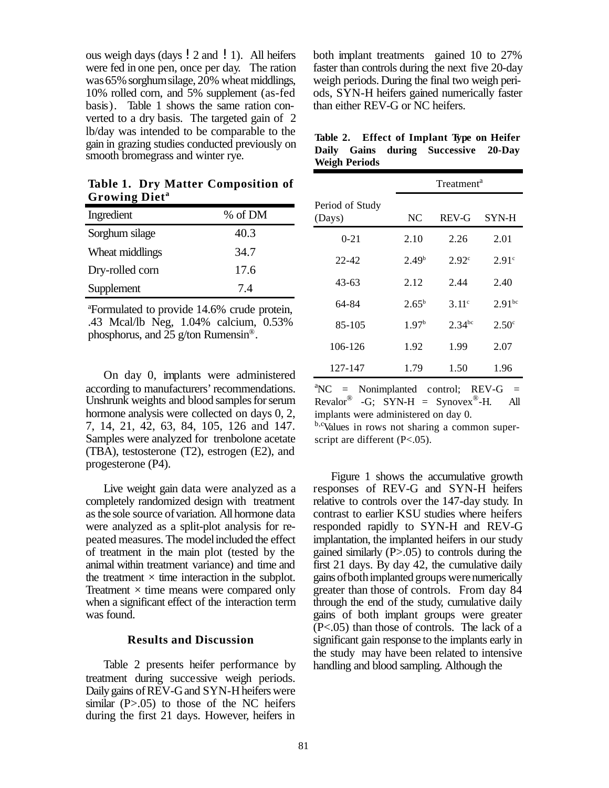ous weigh days (days !2 and !1). All heifers were fed in one pen, once per day. The ration was 65% sorghum silage, 20% wheat middlings, 10% rolled corn, and 5% supplement (as-fed basis). Table 1 shows the same ration converted to a dry basis. The targeted gain of 2 lb/day was intended to be comparable to the gain in grazing studies conducted previously on smooth bromegrass and winter rye.

**Table 1. Dry Matter Composition of Growing Diet<sup>a</sup>**

| Ingredient      | % of DM |
|-----------------|---------|
| Sorghum silage  | 40.3    |
| Wheat middlings | 34.7    |
| Dry-rolled corn | 17.6    |
| Supplement      | 7.4     |

<sup>a</sup>Formulated to provide 14.6% crude protein, .43 Mcal/lb Neg, 1.04% calcium, 0.53% phosphorus, and  $25$  g/ton Rumensin<sup>®</sup>.

On day 0, implants were administered according to manufacturers' recommendations. Unshrunk weights and blood samples for serum hormone analysis were collected on days 0, 2, 7, 14, 21, 42, 63, 84, 105, 126 and 147. Samples were analyzed for trenbolone acetate (TBA), testosterone (T2), estrogen (E2), and progesterone (P4).

Live weight gain data were analyzed as a completely randomized design with treatment as the sole source of variation. All hormone data were analyzed as a split-plot analysis for repeated measures. The modelincluded the effect of treatment in the main plot (tested by the animal within treatment variance) and time and the treatment  $\times$  time interaction in the subplot. Treatment  $\times$  time means were compared only when a significant effect of the interaction term was found.

#### **Results and Discussion**

Table 2 presents heifer performance by treatment during successive weigh periods. Daily gains of REV-G and SYN-H heifers were similar  $(P>0.05)$  to those of the NC heifers during the first 21 days. However, heifers in

both implant treatments gained 10 to 27% faster than controls during the next five 20-day weigh periods. During the final two weigh periods, SYN-H heifers gained numerically faster than either REV-G or NC heifers.

|                      | Table 2. Effect of Implant Type on Heifer |  |
|----------------------|-------------------------------------------|--|
|                      | Daily Gains during Successive 20-Day      |  |
| <b>Weigh Periods</b> |                                           |  |

| Treatment <sup>a</sup> |                   |                   |
|------------------------|-------------------|-------------------|
| NC                     | <b>REV-G</b>      | SYN-H             |
| 2.10                   | 2.26              | 2.01              |
| 2.49 <sup>b</sup>      | 2.92 <sup>c</sup> | 2.91 <sup>c</sup> |
| 2.12                   | 2.44              | 2.40              |
| $2.65^{\rm b}$         | $3.11^{\circ}$    | $2.91^{bc}$       |
| 1.97 <sup>b</sup>      | $2.34^{bc}$       | $2.50^{\circ}$    |
| 1.92                   | 1.99              | 2.07              |
| 1.79                   | 1.50              | 1.96              |
|                        |                   |                   |

 ${}^{\text{a}}$ NC = Nonimplanted control; REV-G = Revalor<sup>®</sup> -G; SYN-H = Synovex<sup>®</sup>-H. All implants were administered on day 0.

b,cValues in rows not sharing a common superscript are different (P<.05).

Figure 1 shows the accumulative growth responses of REV-G and SYN-H heifers relative to controls over the 147-day study. In contrast to earlier KSU studies where heifers responded rapidly to SYN-H and REV-G implantation, the implanted heifers in our study gained similarly  $(P>0.05)$  to controls during the first 21 days. By day 42, the cumulative daily gains ofbothimplanted groups werenumerically greater than those of controls. From day 84 through the end of the study, cumulative daily gains of both implant groups were greater (P<.05) than those of controls. The lack of a significant gain response to the implants early in the study may have been related to intensive handling and blood sampling. Although the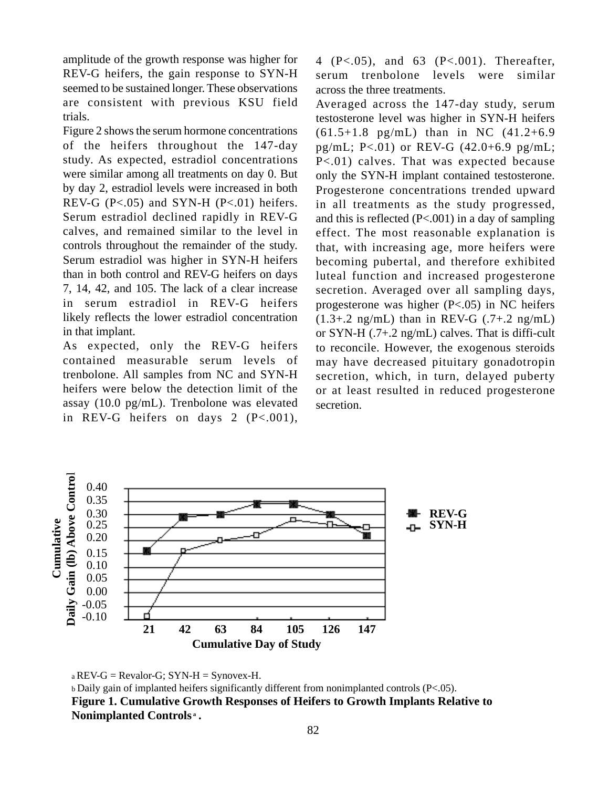amplitude of the growth response was higher for REV-G heifers, the gain response to SYN-H seemed to be sustained longer. These observations are consistent with previous KSU field trials.

Figure 2 shows the serum hormone concentrations of the heifers throughout the 147-day study. As expected, estradiol concentrations were similar among all treatments on day 0. But by day 2, estradiol levels were increased in both REV-G  $(P<.05)$  and SYN-H  $(P<.01)$  heifers. Serum estradiol declined rapidly in REV-G calves, and remained similar to the level in controls throughout the remainder of the study. Serum estradiol was higher in SYN-H heifers than in both control and REV-G heifers on days 7, 14, 42, and 105. The lack of a clear increase in serum estradiol in REV-G heifers likely reflects the lower estradiol concentration in that implant.

As expected, only the REV-G heifers contained measurable serum levels of trenbolone. All samples from NC and SYN-H heifers were below the detection limit of the assay (10.0 pg/mL). Trenbolone was elevated in REV-G heifers on days  $2 \text{ (P} < .001)$ , 4 (P<.05), and 63 (P<.001). Thereafter, serum trenbolone levels were similar across the three treatments.

Averaged across the 147-day study, serum testosterone level was higher in SYN-H heifers  $(61.5+1.8 \text{ pg/mL})$  than in NC  $(41.2+6.9$ pg/mL; P<.01) or REV-G (42.0+6.9 pg/mL; P<.01) calves. That was expected because only the SYN-H implant contained testosterone. Progesterone concentrations trended upward in all treatments as the study progressed, and this is reflected (P<.001) in a day of sampling effect. The most reasonable explanation is that, with increasing age, more heifers were becoming pubertal, and therefore exhibited luteal function and increased progesterone secretion. Averaged over all sampling days, progesterone was higher (P<.05) in NC heifers  $(1.3 + .2 \text{ ng/mL})$  than in REV-G  $(.7 + .2 \text{ ng/mL})$ or SYN-H (.7+.2 ng/mL) calves. That is diffi-cult to reconcile. However, the exogenous steroids may have decreased pituitary gonadotropin secretion, which, in turn, delayed puberty or at least resulted in reduced progesterone secretion.



 $a REV-G = Revalor-G; SYN-H = SynoveX-H.$ 

b Daily gain of implanted heifers significantly different from nonimplanted controls (P<.05). **Figure 1. Cumulative Growth Responses of Heifers to Growth Implants Relative to Nonimplanted Controls a .**